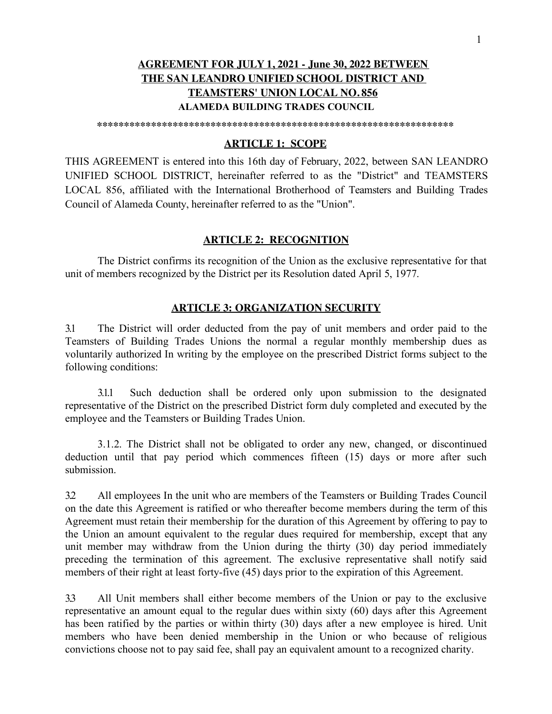# **AGREEMENT FOR JULY 1, 2021 - June 30, 2022 BETWEEN THE SAN LEANDRO UNIFIED SCHOOL DISTRICT AND TEAMSTERS' UNION LOCAL NO. 856 ALAMEDA BUILDING TRADES COUNCIL**

**\*\*\*\*\*\*\*\*\*\*\*\*\*\*\*\*\*\*\*\*\*\*\*\*\*\*\*\*\*\*\*\*\*\*\*\*\*\*\*\*\*\*\*\*\*\*\*\*\*\*\*\*\*\*\*\*\*\*\*\*\*\*\*\*\*\*** 

### **ARTICLE 1: SCOPE**

THIS AGREEMENT is entered into this 16th day of February, 2022, between SAN LEANDRO UNIFIED SCHOOL DISTRICT, hereinafter referred to as the "District" and TEAMSTERS LOCAL 856, affiliated with the International Brotherhood of Teamsters and Building Trades Council of Alameda County, hereinafter referred to as the "Union".

#### **ARTICLE 2: RECOGNITION**

The District confirms its recognition of the Union as the exclusive representative for that unit of members recognized by the District per its Resolution dated April 5, 1977.

### **ARTICLE 3: ORGANIZATION SECURITY**

3.1 The District will order deducted from the pay of unit members and order paid to the Teamsters of Building Trades Unions the normal a regular monthly membership dues as voluntarily authorized In writing by the employee on the prescribed District forms subject to the following conditions:

3.1.1 Such deduction shall be ordered only upon submission to the designated representative of the District on the prescribed District form duly completed and executed by the employee and the Teamsters or Building Trades Union.

3.1.2. The District shall not be obligated to order any new, changed, or discontinued deduction until that pay period which commences fifteen (15) days or more after such submission.

3.2 All employees In the unit who are members of the Teamsters or Building Trades Council on the date this Agreement is ratified or who thereafter become members during the term of this Agreement must retain their membership for the duration of this Agreement by offering to pay to the Union an amount equivalent to the regular dues required for membership, except that any unit member may withdraw from the Union during the thirty (30) day period immediately preceding the termination of this agreement. The exclusive representative shall notify said members of their right at least forty-five (45) days prior to the expiration of this Agreement.

3.3 All Unit members shall either become members of the Union or pay to the exclusive representative an amount equal to the regular dues within sixty (60) days after this Agreement has been ratified by the parties or within thirty (30) days after a new employee is hired. Unit members who have been denied membership in the Union or who because of religious convictions choose not to pay said fee, shall pay an equivalent amount to a recognized charity.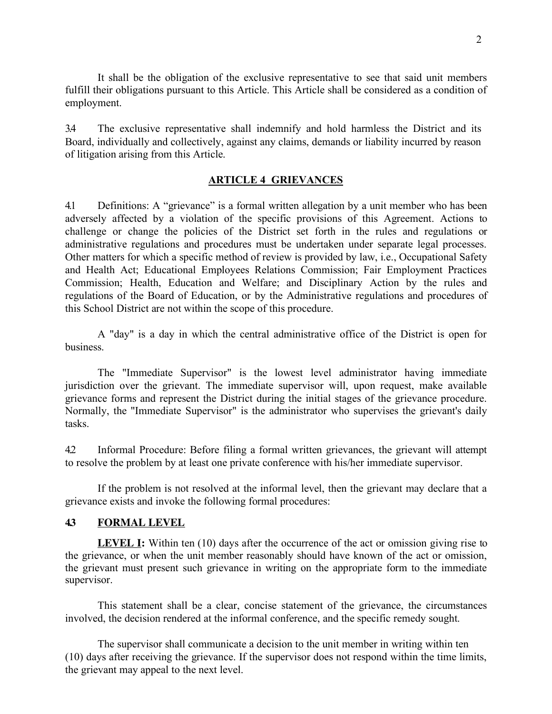It shall be the obligation of the exclusive representative to see that said unit members fulfill their obligations pursuant to this Article. This Article shall be considered as a condition of employment.

3.4 The exclusive representative shall indemnify and hold harmless the District and its Board, individually and collectively, against any claims, demands or liability incurred by reason of litigation arising from this Article.

#### **ARTICLE 4 GRIEVANCES**

4.1 Definitions: A "grievance" is a formal written allegation by a unit member who has been adversely affected by a violation of the specific provisions of this Agreement. Actions to challenge or change the policies of the District set forth in the rules and regulations or administrative regulations and procedures must be undertaken under separate legal processes. Other matters for which a specific method of review is provided by law, i.e., Occupational Safety and Health Act; Educational Employees Relations Commission; Fair Employment Practices Commission; Health, Education and Welfare; and Disciplinary Action by the rules and regulations of the Board of Education, or by the Administrative regulations and procedures of this School District are not within the scope of this procedure.

A "day" is a day in which the central administrative office of the District is open for business.

The "Immediate Supervisor" is the lowest level administrator having immediate jurisdiction over the grievant. The immediate supervisor will, upon request, make available grievance forms and represent the District during the initial stages of the grievance procedure. Normally, the "Immediate Supervisor" is the administrator who supervises the grievant's daily tasks.

4.2 Informal Procedure: Before filing a formal written grievances, the grievant will attempt to resolve the problem by at least one private conference with his/her immediate supervisor.

If the problem is not resolved at the informal level, then the grievant may declare that a grievance exists and invoke the following formal procedures:

### **4.3 FORMAL LEVEL**

**LEVEL I:** Within ten (10) days after the occurrence of the act or omission giving rise to the grievance, or when the unit member reasonably should have known of the act or omission, the grievant must present such grievance in writing on the appropriate form to the immediate supervisor.

This statement shall be a clear, concise statement of the grievance, the circumstances involved, the decision rendered at the informal conference, and the specific remedy sought.

The supervisor shall communicate a decision to the unit member in writing within ten (10) days after receiving the grievance. If the supervisor does not respond within the time limits, the grievant may appeal to the next level.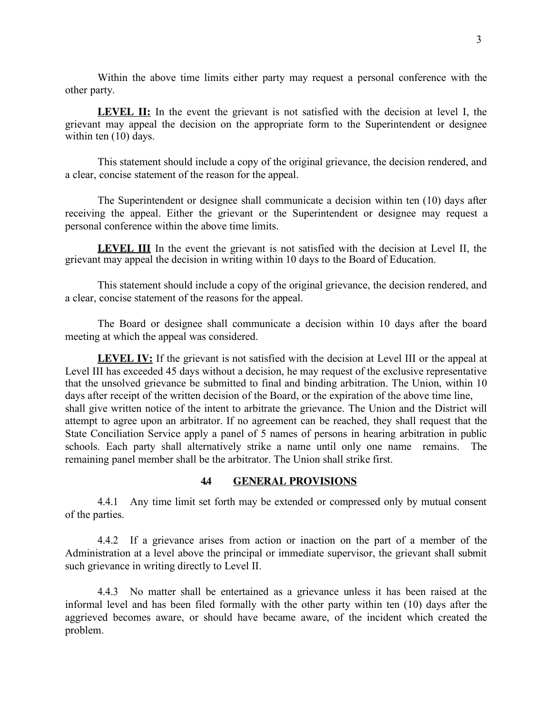Within the above time limits either party may request a personal conference with the other party.

**LEVEL II:** In the event the grievant is not satisfied with the decision at level I, the grievant may appeal the decision on the appropriate form to the Superintendent or designee within ten  $(10)$  days.

This statement should include a copy of the original grievance, the decision rendered, and a clear, concise statement of the reason for the appeal.

The Superintendent or designee shall communicate a decision within ten (10) days after receiving the appeal. Either the grievant or the Superintendent or designee may request a personal conference within the above time limits.

**LEVEL III** In the event the grievant is not satisfied with the decision at Level II, the grievant may appeal the decision in writing within 10 days to the Board of Education.

This statement should include a copy of the original grievance, the decision rendered, and a clear, concise statement of the reasons for the appeal.

The Board or designee shall communicate a decision within 10 days after the board meeting at which the appeal was considered.

**LEVEL IV:** If the grievant is not satisfied with the decision at Level III or the appeal at Level III has exceeded 45 days without a decision, he may request of the exclusive representative that the unsolved grievance be submitted to final and binding arbitration. The Union, within 10 days after receipt of the written decision of the Board, or the expiration of the above time line, shall give written notice of the intent to arbitrate the grievance. The Union and the District will attempt to agree upon an arbitrator. If no agreement can be reached, they shall request that the State Conciliation Service apply a panel of 5 names of persons in hearing arbitration in public schools. Each party shall alternatively strike a name until only one name remains. The remaining panel member shall be the arbitrator. The Union shall strike first.

### **4.4 GENERAL PROVISIONS**

4.4.1 Any time limit set forth may be extended or compressed only by mutual consent of the parties.

4.4.2 If a grievance arises from action or inaction on the part of a member of the Administration at a level above the principal or immediate supervisor, the grievant shall submit such grievance in writing directly to Level II.

4.4.3 No matter shall be entertained as a grievance unless it has been raised at the informal level and has been filed formally with the other party within ten (10) days after the aggrieved becomes aware, or should have became aware, of the incident which created the problem.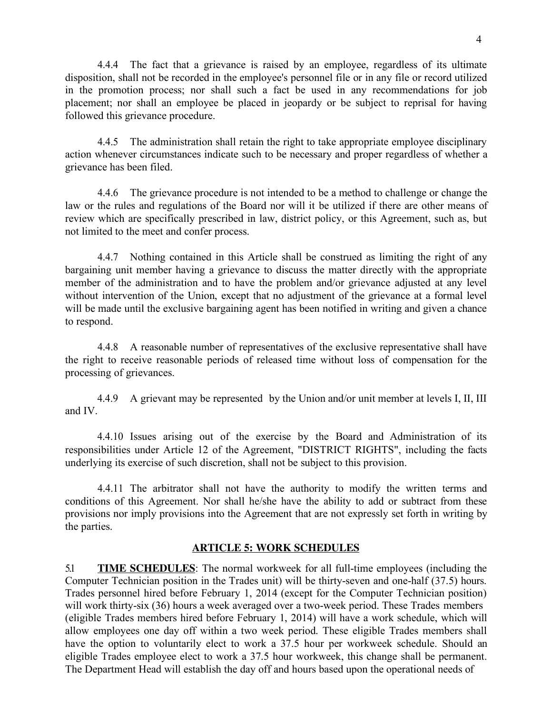4.4.4 The fact that a grievance is raised by an employee, regardless of its ultimate disposition, shall not be recorded in the employee's personnel file or in any file or record utilized in the promotion process; nor shall such a fact be used in any recommendations for job placement; nor shall an employee be placed in jeopardy or be subject to reprisal for having followed this grievance procedure.

4.4.5 The administration shall retain the right to take appropriate employee disciplinary action whenever circumstances indicate such to be necessary and proper regardless of whether a grievance has been filed.

4.4.6 The grievance procedure is not intended to be a method to challenge or change the law or the rules and regulations of the Board nor will it be utilized if there are other means of review which are specifically prescribed in law, district policy, or this Agreement, such as, but not limited to the meet and confer process.

4.4.7 Nothing contained in this Article shall be construed as limiting the right of any bargaining unit member having a grievance to discuss the matter directly with the appropriate member of the administration and to have the problem and/or grievance adjusted at any level without intervention of the Union, except that no adjustment of the grievance at a formal level will be made until the exclusive bargaining agent has been notified in writing and given a chance to respond.

4.4.8 A reasonable number of representatives of the exclusive representative shall have the right to receive reasonable periods of released time without loss of compensation for the processing of grievances.

and IV. 4.4.9 A grievant may be represented by the Union and/or unit member at levels I, II, III

4.4.10 Issues arising out of the exercise by the Board and Administration of its responsibilities under Article 12 of the Agreement, "DISTRICT RIGHTS", including the facts underlying its exercise of such discretion, shall not be subject to this provision.

4.4.11 The arbitrator shall not have the authority to modify the written terms and conditions of this Agreement. Nor shall he/she have the ability to add or subtract from these provisions nor imply provisions into the Agreement that are not expressly set forth in writing by the parties.

### **ARTICLE 5: WORK SCHEDULES**

5.1 **TIME SCHEDULES**: The normal workweek for all full-time employees (including the Computer Technician position in the Trades unit) will be thirty-seven and one-half (37.5) hours. Trades personnel hired before February 1, 2014 (except for the Computer Technician position) will work thirty-six (36) hours a week averaged over a two-week period. These Trades members (eligible Trades members hired before February 1, 2014) will have a work schedule, which will allow employees one day off within a two week period. These eligible Trades members shall have the option to voluntarily elect to work a 37.5 hour per workweek schedule. Should an eligible Trades employee elect to work a 37.5 hour workweek, this change shall be permanent. The Department Head will establish the day off and hours based upon the operational needs of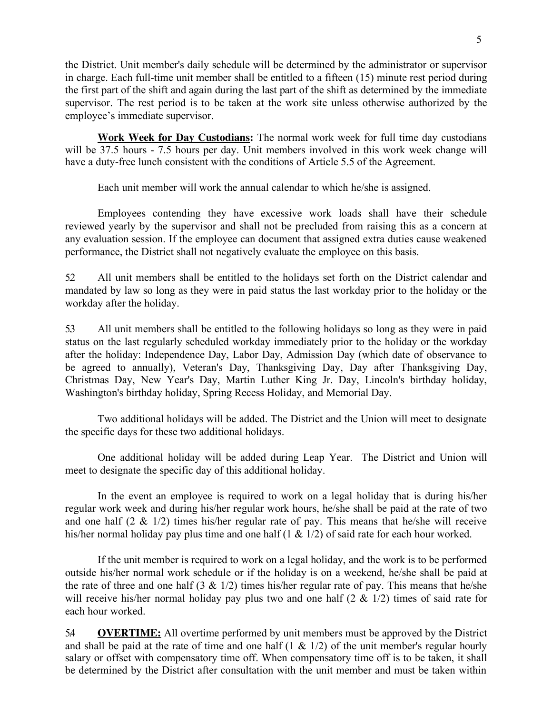the District. Unit member's daily schedule will be determined by the administrator or supervisor in charge. Each full-time unit member shall be entitled to a fifteen (15) minute rest period during the first part of the shift and again during the last part of the shift as determined by the immediate supervisor. The rest period is to be taken at the work site unless otherwise authorized by the employee's immediate supervisor.

**Work Week for Day Custodians:** The normal work week for full time day custodians will be 37.5 hours - 7.5 hours per day. Unit members involved in this work week change will have a duty-free lunch consistent with the conditions of Article 5.5 of the Agreement.

Each unit member will work the annual calendar to which he/she is assigned.

Employees contending they have excessive work loads shall have their schedule reviewed yearly by the supervisor and shall not be precluded from raising this as a concern at any evaluation session. If the employee can document that assigned extra duties cause weakened performance, the District shall not negatively evaluate the employee on this basis.

5.2 All unit members shall be entitled to the holidays set forth on the District calendar and mandated by law so long as they were in paid status the last workday prior to the holiday or the workday after the holiday.

5.3 All unit members shall be entitled to the following holidays so long as they were in paid status on the last regularly scheduled workday immediately prior to the holiday or the workday after the holiday: Independence Day, Labor Day, Admission Day (which date of observance to be agreed to annually), Veteran's Day, Thanksgiving Day, Day after Thanksgiving Day, Christmas Day, New Year's Day, Martin Luther King Jr. Day, Lincoln's birthday holiday, Washington's birthday holiday, Spring Recess Holiday, and Memorial Day.

Two additional holidays will be added. The District and the Union will meet to designate the specific days for these two additional holidays.

One additional holiday will be added during Leap Year. The District and Union will meet to designate the specific day of this additional holiday.

In the event an employee is required to work on a legal holiday that is during his/her regular work week and during his/her regular work hours, he/she shall be paid at the rate of two and one half  $(2 \& 1/2)$  times his/her regular rate of pay. This means that he/she will receive his/her normal holiday pay plus time and one half (1 & 1/2) of said rate for each hour worked.

If the unit member is required to work on a legal holiday, and the work is to be performed outside his/her normal work schedule or if the holiday is on a weekend, he/she shall be paid at the rate of three and one half  $(3 \& 1/2)$  times his/her regular rate of pay. This means that he/she will receive his/her normal holiday pay plus two and one half  $(2 \& 1/2)$  times of said rate for each hour worked.

5.4 **OVERTIME:** All overtime performed by unit members must be approved by the District and shall be paid at the rate of time and one half  $(1 \& 1/2)$  of the unit member's regular hourly salary or offset with compensatory time off. When compensatory time off is to be taken, it shall be determined by the District after consultation with the unit member and must be taken within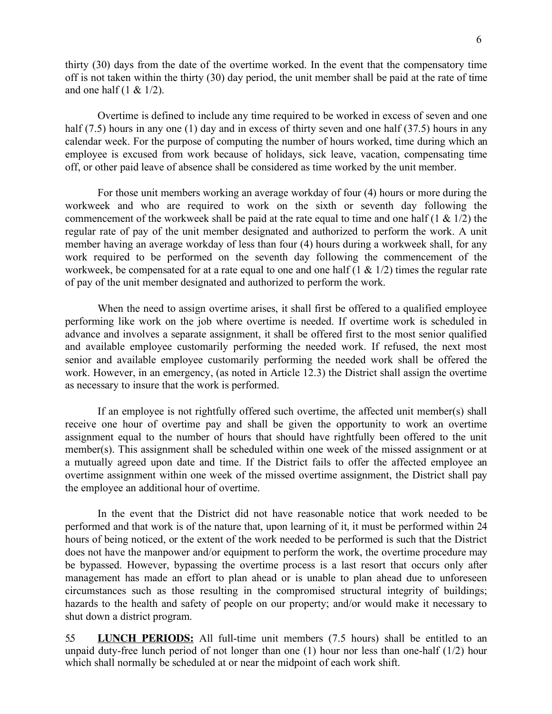thirty (30) days from the date of the overtime worked. In the event that the compensatory time off is not taken within the thirty (30) day period, the unit member shall be paid at the rate of time and one half  $(1 \& 1/2)$ .

Overtime is defined to include any time required to be worked in excess of seven and one half (7.5) hours in any one (1) day and in excess of thirty seven and one half (37.5) hours in any calendar week. For the purpose of computing the number of hours worked, time during which an employee is excused from work because of holidays, sick leave, vacation, compensating time off, or other paid leave of absence shall be considered as time worked by the unit member.

For those unit members working an average workday of four (4) hours or more during the workweek and who are required to work on the sixth or seventh day following the commencement of the workweek shall be paid at the rate equal to time and one half  $(1 \& 1/2)$  the regular rate of pay of the unit member designated and authorized to perform the work. A unit member having an average workday of less than four (4) hours during a workweek shall, for any work required to be performed on the seventh day following the commencement of the workweek, be compensated for at a rate equal to one and one half  $(1 \& 1/2)$  times the regular rate of pay of the unit member designated and authorized to perform the work.

When the need to assign overtime arises, it shall first be offered to a qualified employee performing like work on the job where overtime is needed. If overtime work is scheduled in advance and involves a separate assignment, it shall be offered first to the most senior qualified and available employee customarily performing the needed work. If refused, the next most senior and available employee customarily performing the needed work shall be offered the work. However, in an emergency, (as noted in Article 12.3) the District shall assign the overtime as necessary to insure that the work is performed.

If an employee is not rightfully offered such overtime, the affected unit member(s) shall receive one hour of overtime pay and shall be given the opportunity to work an overtime assignment equal to the number of hours that should have rightfully been offered to the unit member(s). This assignment shall be scheduled within one week of the missed assignment or at a mutually agreed upon date and time. If the District fails to offer the affected employee an overtime assignment within one week of the missed overtime assignment, the District shall pay the employee an additional hour of overtime.

In the event that the District did not have reasonable notice that work needed to be performed and that work is of the nature that, upon learning of it, it must be performed within 24 hours of being noticed, or the extent of the work needed to be performed is such that the District does not have the manpower and/or equipment to perform the work, the overtime procedure may be bypassed. However, bypassing the overtime process is a last resort that occurs only after management has made an effort to plan ahead or is unable to plan ahead due to unforeseen circumstances such as those resulting in the compromised structural integrity of buildings; hazards to the health and safety of people on our property; and/or would make it necessary to shut down a district program.

5.5 **LUNCH PERIODS:** All full-time unit members (7.5 hours) shall be entitled to an unpaid duty-free lunch period of not longer than one (1) hour nor less than one-half (1/2) hour which shall normally be scheduled at or near the midpoint of each work shift.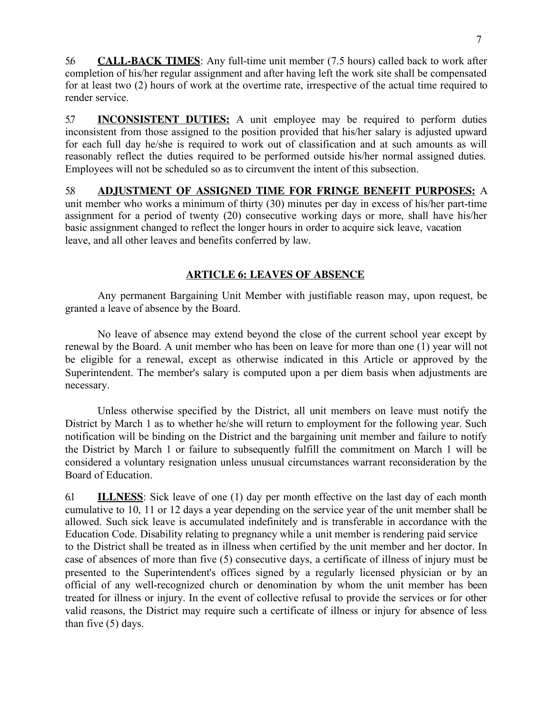5.6 **CALL-BACK TIMES**: Any full-time unit member (7.5 hours) called back to work after completion of his/her regular assignment and after having left the work site shall be compensated for at least two (2) hours of work at the overtime rate, irrespective of the actual time required to render service.

5.7 **INCONSISTENT DUTIES:** A unit employee may be required to perform duties inconsistent from those assigned to the position provided that his/her salary is adjusted upward for each full day he/she is required to work out of classification and at such amounts as will reasonably reflect the duties required to be performed outside his/her normal assigned duties. Employees will not be scheduled so as to circumvent the intent of this subsection.

5.8 **ADJUSTMENT OF ASSIGNED TIME FOR FRINGE BENEFIT PURPOSES:** A unit member who works a minimum of thirty (30) minutes per day in excess of his/her part-time assignment for a period of twenty (20) consecutive working days or more, shall have his/her basic assignment changed to reflect the longer hours in order to acquire sick leave, vacation leave, and all other leaves and benefits conferred by law.

# **ARTICLE 6: LEAVES OF ABSENCE**

Any permanent Bargaining Unit Member with justifiable reason may, upon request, be granted a leave of absence by the Board.

No leave of absence may extend beyond the close of the current school year except by renewal by the Board. A unit member who has been on leave for more than one (1) year will not be eligible for a renewal, except as otherwise indicated in this Article or approved by the Superintendent. The member's salary is computed upon a per diem basis when adjustments are necessary.

Unless otherwise specified by the District, all unit members on leave must notify the District by March 1 as to whether he/she will return to employment for the following year. Such notification will be binding on the District and the bargaining unit member and failure to notify the District by March 1 or failure to subsequently fulfill the commitment on March 1 will be considered a voluntary resignation unless unusual circumstances warrant reconsideration by the Board of Education.

6.1 **ILLNESS**: Sick leave of one (1) day per month effective on the last day of each month cumulative to 10, 11 or 12 days a year depending on the service year of the unit member shall be allowed. Such sick leave is accumulated indefinitely and is transferable in accordance with the Education Code. Disability relating to pregnancy while a unit member is rendering paid service to the District shall be treated as in illness when certified by the unit member and her doctor. In case of absences of more than five (5) consecutive days, a certificate of illness of injury must be presented to the Superintendent's offices signed by a regularly licensed physician or by an official of any well-recognized church or denomination by whom the unit member has been treated for illness or injury. In the event of collective refusal to provide the services or for other valid reasons, the District may require such a certificate of illness or injury for absence of less than five (5) days.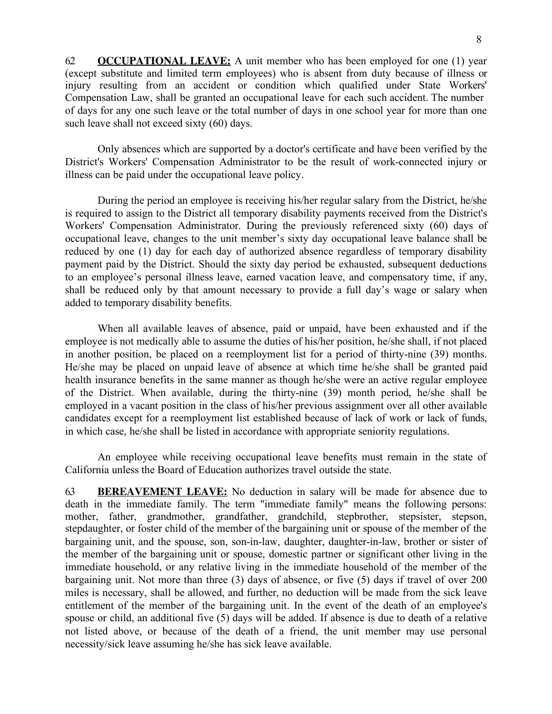6.2 **OCCUPATIONAL LEAVE:** A unit member who has been employed for one (1) year (except substitute and limited term employees) who is absent from duty because of illness or injury resulting from an accident or condition which qualified under State Workers' Compensation Law, shall be granted an occupational leave for each such accident. The number of days for any one such leave or the total number of days in one school year for more than one such leave shall not exceed sixty (60) days.

Only absences which are supported by a doctor's certificate and have been verified by the District's Workers' Compensation Administrator to be the result of work-connected injury or illness can be paid under the occupational leave policy.

During the period an employee is receiving his/her regular salary from the District, he/she is required to assign to the District all temporary disability payments received from the District's Workers' Compensation Administrator. During the previously referenced sixty (60) days of occupational leave, changes to the unit member's sixty day occupational leave balance shall be reduced by one (1) day for each day of authorized absence regardless of temporary disability payment paid by the District. Should the sixty day period be exhausted, subsequent deductions to an employee's personal illness leave, earned vacation leave, and compensatory time, if any, shall be reduced only by that amount necessary to provide a full day's wage or salary when added to temporary disability benefits.

When all available leaves of absence, paid or unpaid, have been exhausted and if the employee is not medically able to assume the duties of his/her position, he/she shall, if not placed in another position, be placed on a reemployment list for a period of thirty-nine (39) months. He/she may be placed on unpaid leave of absence at which time he/she shall be granted paid health insurance benefits in the same manner as though he/she were an active regular employee of the District. When available, during the thirty-nine (39) month period, he/she shall be employed in a vacant position in the class of his/her previous assignment over all other available candidates except for a reemployment list established because of lack of work or lack of funds, in which case, he/she shall be listed in accordance with appropriate seniority regulations.

An employee while receiving occupational leave benefits must remain in the state of California unless the Board of Education authorizes travel outside the state.

6.3 **BEREAVEMENT LEAVE:** No deduction in salary will be made for absence due to death in the immediate family. The term "immediate family" means the following persons: mother, father, grandmother, grandfather, grandchild, stepbrother, stepsister, stepson, stepdaughter, or foster child of the member of the bargaining unit or spouse of the member of the bargaining unit, and the spouse, son, son-in-law, daughter, daughter-in-law, brother or sister of the member of the bargaining unit or spouse, domestic partner or significant other living in the immediate household, or any relative living in the immediate household of the member of the bargaining unit. Not more than three (3) days of absence, or five (5) days if travel of over 200 miles is necessary, shall be allowed, and further, no deduction will be made from the sick leave entitlement of the member of the bargaining unit. In the event of the death of an employee's spouse or child, an additional five (5) days will be added. If absence is due to death of a relative not listed above, or because of the death of a friend, the unit member may use personal necessity/sick leave assuming he/she has sick leave available.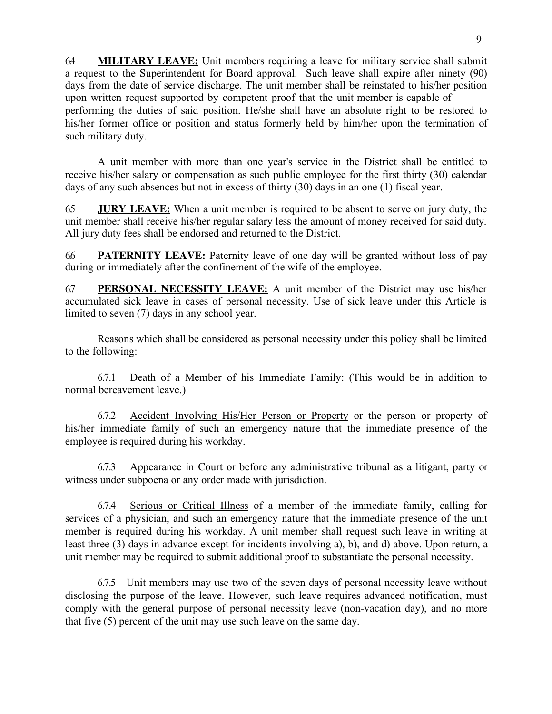6.4 **MILITARY LEAVE:** Unit members requiring a leave for military service shall submit a request to the Superintendent for Board approval. Such leave shall expire after ninety (90) days from the date of service discharge. The unit member shall be reinstated to his/her position upon written request supported by competent proof that the unit member is capable of performing the duties of said position. He/she shall have an absolute right to be restored to his/her former office or position and status formerly held by him/her upon the termination of such military duty.

A unit member with more than one year's service in the District shall be entitled to receive his/her salary or compensation as such public employee for the first thirty (30) calendar days of any such absences but not in excess of thirty (30) days in an one (1) fiscal year.

6.5 **JURY LEAVE:** When a unit member is required to be absent to serve on jury duty, the unit member shall receive his/her regular salary less the amount of money received for said duty. All jury duty fees shall be endorsed and returned to the District.

6.6 **PATERNITY LEAVE:** Paternity leave of one day will be granted without loss of pay during or immediately after the confinement of the wife of the employee.

6.7 **PERSONAL NECESSITY LEAVE:** A unit member of the District may use his/her accumulated sick leave in cases of personal necessity. Use of sick leave under this Article is limited to seven (7) days in any school year.

Reasons which shall be considered as personal necessity under this policy shall be limited to the following:

6.7.1 Death of a Member of his Immediate Family: (This would be in addition to normal bereavement leave.)

6.7.2 Accident Involving His/Her Person or Property or the person or property of his/her immediate family of such an emergency nature that the immediate presence of the employee is required during his workday.

6.7.3 Appearance in Court or before any administrative tribunal as a litigant, party or witness under subpoena or any order made with jurisdiction.

6.7.4 Serious or Critical Illness of a member of the immediate family, calling for services of a physician, and such an emergency nature that the immediate presence of the unit member is required during his workday. A unit member shall request such leave in writing at least three (3) days in advance except for incidents involving a), b), and d) above. Upon return, a unit member may be required to submit additional proof to substantiate the personal necessity.

6.7.5 Unit members may use two of the seven days of personal necessity leave without disclosing the purpose of the leave. However, such leave requires advanced notification, must comply with the general purpose of personal necessity leave (non-vacation day), and no more that five (5) percent of the unit may use such leave on the same day.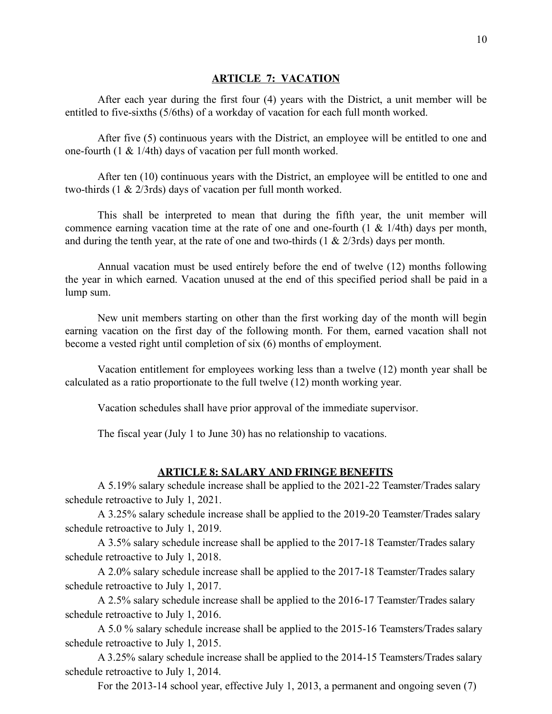#### **ARTICLE 7: VACATION**

After each year during the first four (4) years with the District, a unit member will be entitled to five-sixths (5/6ths) of a workday of vacation for each full month worked.

After five (5) continuous years with the District, an employee will be entitled to one and one-fourth (1 & 1/4th) days of vacation per full month worked.

After ten (10) continuous years with the District, an employee will be entitled to one and two-thirds (1 & 2/3rds) days of vacation per full month worked.

This shall be interpreted to mean that during the fifth year, the unit member will commence earning vacation time at the rate of one and one-fourth  $(1 \& 1/4th)$  days per month, and during the tenth year, at the rate of one and two-thirds  $(1 \& 2/3$ rds) days per month.

Annual vacation must be used entirely before the end of twelve (12) months following the year in which earned. Vacation unused at the end of this specified period shall be paid in a lump sum.

New unit members starting on other than the first working day of the month will begin earning vacation on the first day of the following month. For them, earned vacation shall not become a vested right until completion of six (6) months of employment.

Vacation entitlement for employees working less than a twelve (12) month year shall be calculated as a ratio proportionate to the full twelve (12) month working year.

Vacation schedules shall have prior approval of the immediate supervisor.

The fiscal year (July 1 to June 30) has no relationship to vacations.

#### **ARTICLE 8: SALARY AND FRINGE BENEFITS**

A 5.19% salary schedule increase shall be applied to the 2021-22 Teamster/Trades salary schedule retroactive to July 1, 2021.

A 3.25% salary schedule increase shall be applied to the 2019-20 Teamster/Trades salary schedule retroactive to July 1, 2019.

A 3.5% salary schedule increase shall be applied to the 2017-18 Teamster/Trades salary schedule retroactive to July 1, 2018.

A 2.0% salary schedule increase shall be applied to the 2017-18 Teamster/Trades salary schedule retroactive to July 1, 2017.

A 2.5% salary schedule increase shall be applied to the 2016-17 Teamster/Trades salary schedule retroactive to July 1, 2016.

A 5.0 % salary schedule increase shall be applied to the 2015-16 Teamsters/Trades salary schedule retroactive to July 1, 2015.

A 3.25% salary schedule increase shall be applied to the 2014-15 Teamsters/Trades salary schedule retroactive to July 1, 2014.

For the 2013-14 school year, effective July 1, 2013, a permanent and ongoing seven (7)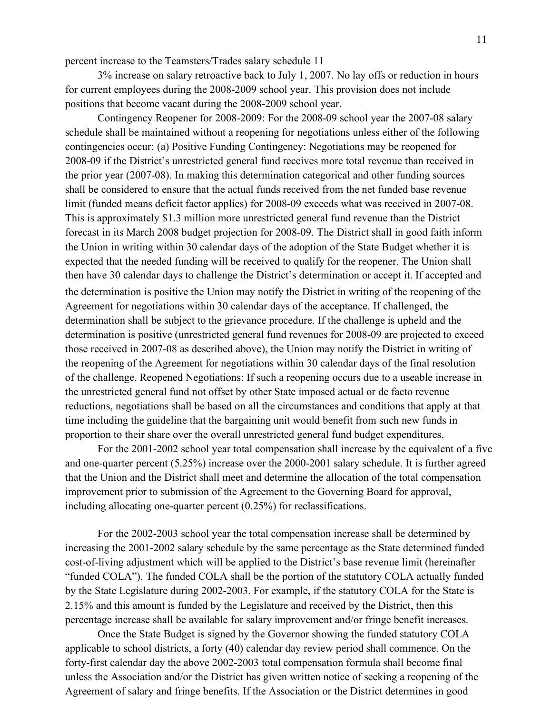percent increase to the Teamsters/Trades salary schedule 11

3% increase on salary retroactive back to July 1, 2007. No lay offs or reduction in hours for current employees during the 2008-2009 school year. This provision does not include positions that become vacant during the 2008-2009 school year.

Contingency Reopener for 2008-2009: For the 2008-09 school year the 2007-08 salary schedule shall be maintained without a reopening for negotiations unless either of the following contingencies occur: (a) Positive Funding Contingency: Negotiations may be reopened for 2008-09 if the District's unrestricted general fund receives more total revenue than received in the prior year (2007-08). In making this determination categorical and other funding sources shall be considered to ensure that the actual funds received from the net funded base revenue limit (funded means deficit factor applies) for 2008-09 exceeds what was received in 2007-08. This is approximately \$1.3 million more unrestricted general fund revenue than the District forecast in its March 2008 budget projection for 2008-09. The District shall in good faith inform the Union in writing within 30 calendar days of the adoption of the State Budget whether it is expected that the needed funding will be received to qualify for the reopener. The Union shall then have 30 calendar days to challenge the District's determination or accept it. If accepted and the determination is positive the Union may notify the District in writing of the reopening of the Agreement for negotiations within 30 calendar days of the acceptance. If challenged, the determination shall be subject to the grievance procedure. If the challenge is upheld and the determination is positive (unrestricted general fund revenues for 2008-09 are projected to exceed those received in 2007-08 as described above), the Union may notify the District in writing of the reopening of the Agreement for negotiations within 30 calendar days of the final resolution of the challenge. Reopened Negotiations: If such a reopening occurs due to a useable increase in the unrestricted general fund not offset by other State imposed actual or de facto revenue reductions, negotiations shall be based on all the circumstances and conditions that apply at that time including the guideline that the bargaining unit would benefit from such new funds in proportion to their share over the overall unrestricted general fund budget expenditures.

For the 2001-2002 school year total compensation shall increase by the equivalent of a five and one-quarter percent (5.25%) increase over the 2000-2001 salary schedule. It is further agreed that the Union and the District shall meet and determine the allocation of the total compensation improvement prior to submission of the Agreement to the Governing Board for approval, including allocating one-quarter percent (0.25%) for reclassifications.

For the 2002-2003 school year the total compensation increase shall be determined by increasing the 2001-2002 salary schedule by the same percentage as the State determined funded cost-of-living adjustment which will be applied to the District's base revenue limit (hereinafter "funded COLA"). The funded COLA shall be the portion of the statutory COLA actually funded by the State Legislature during 2002-2003. For example, if the statutory COLA for the State is 2.15% and this amount is funded by the Legislature and received by the District, then this percentage increase shall be available for salary improvement and/or fringe benefit increases.

Once the State Budget is signed by the Governor showing the funded statutory COLA applicable to school districts, a forty (40) calendar day review period shall commence. On the forty-first calendar day the above 2002-2003 total compensation formula shall become final unless the Association and/or the District has given written notice of seeking a reopening of the Agreement of salary and fringe benefits. If the Association or the District determines in good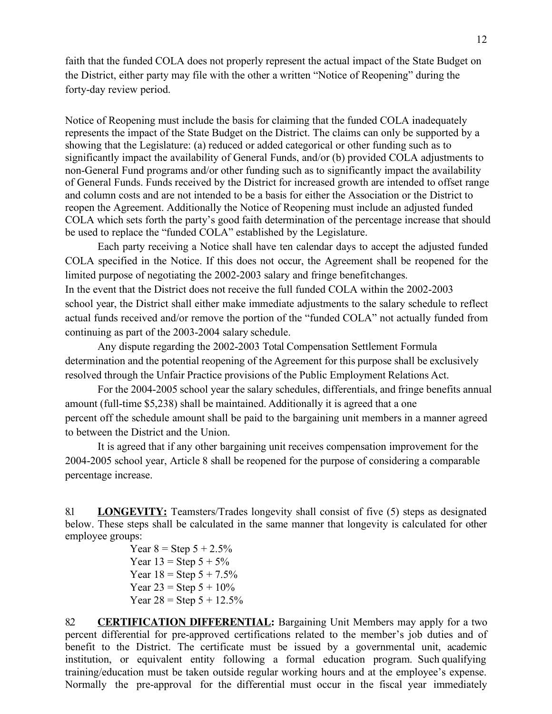faith that the funded COLA does not properly represent the actual impact of the State Budget on the District, either party may file with the other a written "Notice of Reopening" during the forty-day review period.

Notice of Reopening must include the basis for claiming that the funded COLA inadequately represents the impact of the State Budget on the District. The claims can only be supported by a showing that the Legislature: (a) reduced or added categorical or other funding such as to significantly impact the availability of General Funds, and/or (b) provided COLA adjustments to non-General Fund programs and/or other funding such as to significantly impact the availability of General Funds. Funds received by the District for increased growth are intended to offset range and column costs and are not intended to be a basis for either the Association or the District to reopen the Agreement. Additionally the Notice of Reopening must include an adjusted funded COLA which sets forth the party's good faith determination of the percentage increase that should be used to replace the "funded COLA" established by the Legislature.

Each party receiving a Notice shall have ten calendar days to accept the adjusted funded COLA specified in the Notice. If this does not occur, the Agreement shall be reopened for the limited purpose of negotiating the 2002-2003 salary and fringe benefitchanges. In the event that the District does not receive the full funded COLA within the 2002-2003 school year, the District shall either make immediate adjustments to the salary schedule to reflect actual funds received and/or remove the portion of the "funded COLA" not actually funded from continuing as part of the 2003-2004 salary schedule.

Any dispute regarding the 2002-2003 Total Compensation Settlement Formula determination and the potential reopening of the Agreement for this purpose shall be exclusively resolved through the Unfair Practice provisions of the Public Employment Relations Act.

For the 2004-2005 school year the salary schedules, differentials, and fringe benefits annual amount (full-time \$5,238) shall be maintained. Additionally it is agreed that a one percent off the schedule amount shall be paid to the bargaining unit members in a manner agreed to between the District and the Union.

It is agreed that if any other bargaining unit receives compensation improvement for the 2004-2005 school year, Article 8 shall be reopened for the purpose of considering a comparable percentage increase.

8.1 **LONGEVITY:** Teamsters/Trades longevity shall consist of five (5) steps as designated below. These steps shall be calculated in the same manner that longevity is calculated for other employee groups:

> Year  $8 =$  Step  $5 + 2.5\%$ Year  $13 =$  Step  $5 + 5\%$ Year  $18 =$  Step  $5 + 7.5\%$ Year  $23 =$  Step  $5 + 10\%$ Year  $28 =$  Step  $5 + 12.5\%$

8.2 **CERTIFICATION DIFFERENTIAL:** Bargaining Unit Members may apply for a two percent differential for pre-approved certifications related to the member's job duties and of benefit to the District. The certificate must be issued by a governmental unit, academic institution, or equivalent entity following a formal education program. Such qualifying training/education must be taken outside regular working hours and at the employee's expense. Normally the pre-approval for the differential must occur in the fiscal year immediately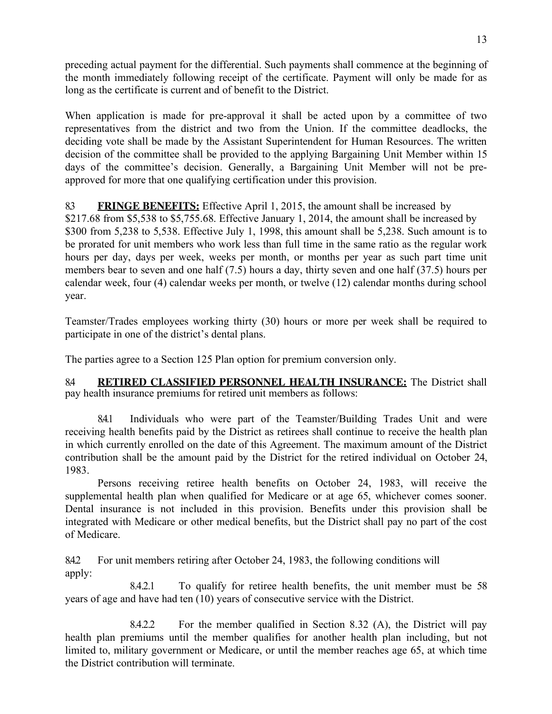preceding actual payment for the differential. Such payments shall commence at the beginning of the month immediately following receipt of the certificate. Payment will only be made for as long as the certificate is current and of benefit to the District.

When application is made for pre-approval it shall be acted upon by a committee of two representatives from the district and two from the Union. If the committee deadlocks, the deciding vote shall be made by the Assistant Superintendent for Human Resources. The written decision of the committee shall be provided to the applying Bargaining Unit Member within 15 days of the committee's decision. Generally, a Bargaining Unit Member will not be preapproved for more that one qualifying certification under this provision.

# 8.3 **FRINGE BENEFITS:** Effective April 1, 2015, the amount shall be increased by

\$217.68 from \$5,538 to \$5,755.68. Effective January 1, 2014, the amount shall be increased by \$300 from 5,238 to 5,538. Effective July 1, 1998, this amount shall be 5,238. Such amount is to be prorated for unit members who work less than full time in the same ratio as the regular work hours per day, days per week, weeks per month, or months per year as such part time unit members bear to seven and one half (7.5) hours a day, thirty seven and one half (37.5) hours per calendar week, four (4) calendar weeks per month, or twelve (12) calendar months during school year.

Teamster/Trades employees working thirty (30) hours or more per week shall be required to participate in one of the district's dental plans.

The parties agree to a Section 125 Plan option for premium conversion only.

8.4 **RETIRED CLASSIFIED PERSONNEL HEALTH INSURANCE:** The District shall pay health insurance premiums for retired unit members as follows:

8.4.1 Individuals who were part of the Teamster/Building Trades Unit and were receiving health benefits paid by the District as retirees shall continue to receive the health plan in which currently enrolled on the date of this Agreement. The maximum amount of the District contribution shall be the amount paid by the District for the retired individual on October 24, 1983.

Persons receiving retiree health benefits on October 24, 1983, will receive the supplemental health plan when qualified for Medicare or at age 65, whichever comes sooner. Dental insurance is not included in this provision. Benefits under this provision shall be integrated with Medicare or other medical benefits, but the District shall pay no part of the cost of Medicare.

8.4.2 For unit members retiring after October 24, 1983, the following conditions will apply:

8.4.2.1 To qualify for retiree health benefits, the unit member must be 58 years of age and have had ten (10) years of consecutive service with the District.

8.4.2.2 For the member qualified in Section 8.32 (A), the District will pay health plan premiums until the member qualifies for another health plan including, but not limited to, military government or Medicare, or until the member reaches age 65, at which time the District contribution will terminate.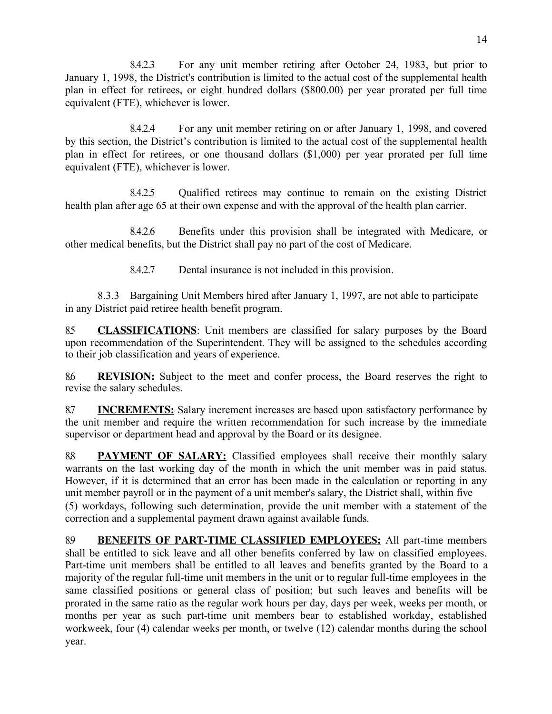8.4.2.3 For any unit member retiring after October 24, 1983, but prior to January 1, 1998, the District's contribution is limited to the actual cost of the supplemental health plan in effect for retirees, or eight hundred dollars (\$800.00) per year prorated per full time equivalent (FTE), whichever is lower.

8.4.2.4 For any unit member retiring on or after January 1, 1998, and covered by this section, the District's contribution is limited to the actual cost of the supplemental health plan in effect for retirees, or one thousand dollars (\$1,000) per year prorated per full time equivalent (FTE), whichever is lower.

8.4.2.5 Qualified retirees may continue to remain on the existing District health plan after age 65 at their own expense and with the approval of the health plan carrier.

8.4.2.6 Benefits under this provision shall be integrated with Medicare, or other medical benefits, but the District shall pay no part of the cost of Medicare.

8.4.2.7 Dental insurance is not included in this provision.

8.3.3 Bargaining Unit Members hired after January 1, 1997, are not able to participate in any District paid retiree health benefit program.

8.5 **CLASSIFICATIONS**: Unit members are classified for salary purposes by the Board upon recommendation of the Superintendent. They will be assigned to the schedules according to their job classification and years of experience.

8.6 **REVISION:** Subject to the meet and confer process, the Board reserves the right to revise the salary schedules.

8.7 **INCREMENTS:** Salary increment increases are based upon satisfactory performance by the unit member and require the written recommendation for such increase by the immediate supervisor or department head and approval by the Board or its designee.

8.8 **PAYMENT OF SALARY:** Classified employees shall receive their monthly salary warrants on the last working day of the month in which the unit member was in paid status. However, if it is determined that an error has been made in the calculation or reporting in any unit member payroll or in the payment of a unit member's salary, the District shall, within five (5) workdays, following such determination, provide the unit member with a statement of the correction and a supplemental payment drawn against available funds.

8.9 **BENEFITS OF PART-TIME CLASSIFIED EMPLOYEES:** All part-time members shall be entitled to sick leave and all other benefits conferred by law on classified employees. Part-time unit members shall be entitled to all leaves and benefits granted by the Board to a majority of the regular full-time unit members in the unit or to regular full-time employees in the same classified positions or general class of position; but such leaves and benefits will be prorated in the same ratio as the regular work hours per day, days per week, weeks per month, or months per year as such part-time unit members bear to established workday, established workweek, four (4) calendar weeks per month, or twelve (12) calendar months during the school year.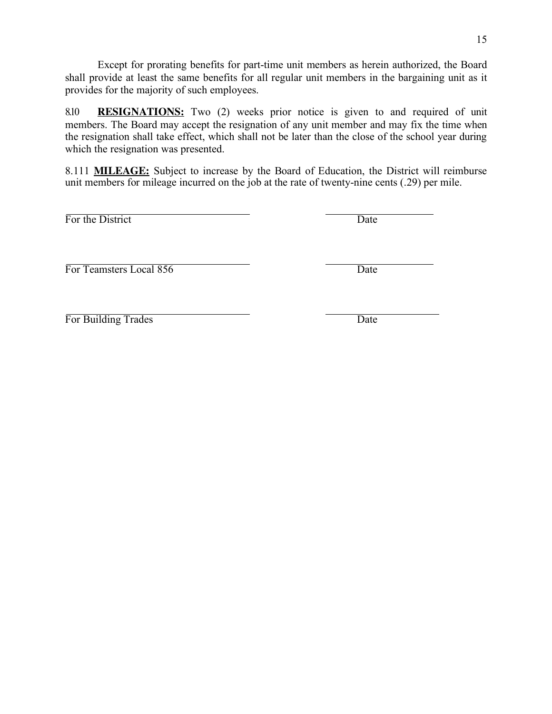Except for prorating benefits for part-time unit members as herein authorized, the Board shall provide at least the same benefits for all regular unit members in the bargaining unit as it provides for the majority of such employees.

8.10 **RESIGNATIONS:** Two (2) weeks prior notice is given to and required of unit members. The Board may accept the resignation of any unit member and may fix the time when the resignation shall take effect, which shall not be later than the close of the school year during which the resignation was presented.

8.111 **MILEAGE:** Subject to increase by the Board of Education, the District will reimburse unit members for mileage incurred on the job at the rate of twenty-nine cents (.29) per mile.

For the District Date

For Teamsters Local 856 Date

For Building Trades Date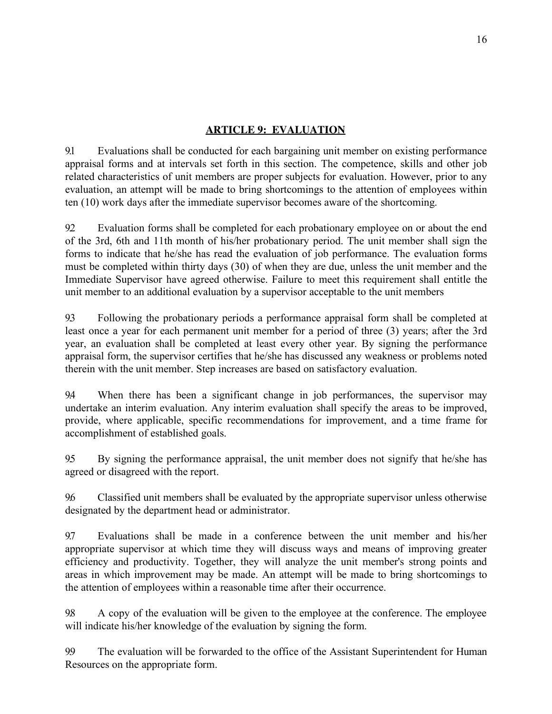# **ARTICLE 9: EVALUATION**

9.1 Evaluations shall be conducted for each bargaining unit member on existing performance appraisal forms and at intervals set forth in this section. The competence, skills and other job related characteristics of unit members are proper subjects for evaluation. However, prior to any evaluation, an attempt will be made to bring shortcomings to the attention of employees within ten (10) work days after the immediate supervisor becomes aware of the shortcoming.

9.2 Evaluation forms shall be completed for each probationary employee on or about the end of the 3rd, 6th and 11th month of his/her probationary period. The unit member shall sign the forms to indicate that he/she has read the evaluation of job performance. The evaluation forms must be completed within thirty days (30) of when they are due, unless the unit member and the Immediate Supervisor have agreed otherwise. Failure to meet this requirement shall entitle the unit member to an additional evaluation by a supervisor acceptable to the unit members

9.3 Following the probationary periods a performance appraisal form shall be completed at least once a year for each permanent unit member for a period of three (3) years; after the 3rd year, an evaluation shall be completed at least every other year. By signing the performance appraisal form, the supervisor certifies that he/she has discussed any weakness or problems noted therein with the unit member. Step increases are based on satisfactory evaluation.

9.4 When there has been a significant change in job performances, the supervisor may undertake an interim evaluation. Any interim evaluation shall specify the areas to be improved, provide, where applicable, specific recommendations for improvement, and a time frame for accomplishment of established goals.

9.5 By signing the performance appraisal, the unit member does not signify that he/she has agreed or disagreed with the report.

9.6 Classified unit members shall be evaluated by the appropriate supervisor unless otherwise designated by the department head or administrator.

9.7 Evaluations shall be made in a conference between the unit member and his/her appropriate supervisor at which time they will discuss ways and means of improving greater efficiency and productivity. Together, they will analyze the unit member's strong points and areas in which improvement may be made. An attempt will be made to bring shortcomings to the attention of employees within a reasonable time after their occurrence.

9.8 A copy of the evaluation will be given to the employee at the conference. The employee will indicate his/her knowledge of the evaluation by signing the form.

9.9 The evaluation will be forwarded to the office of the Assistant Superintendent for Human Resources on the appropriate form.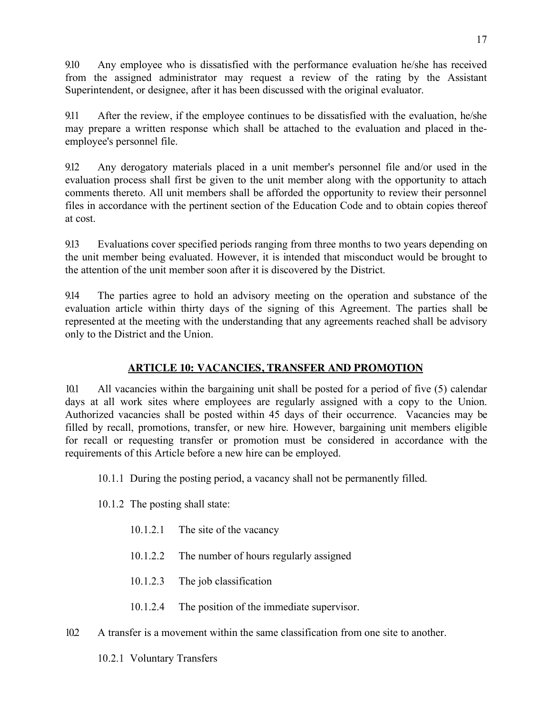9.10 Any employee who is dissatisfied with the performance evaluation he/she has received from the assigned administrator may request a review of the rating by the Assistant Superintendent, or designee, after it has been discussed with the original evaluator.

9.11 After the review, if the employee continues to be dissatisfied with the evaluation, he/she may prepare a written response which shall be attached to the evaluation and placed in theemployee's personnel file.

9.12 Any derogatory materials placed in a unit member's personnel file and/or used in the evaluation process shall first be given to the unit member along with the opportunity to attach comments thereto. All unit members shall be afforded the opportunity to review their personnel files in accordance with the pertinent section of the Education Code and to obtain copies thereof at cost.

9.13 Evaluations cover specified periods ranging from three months to two years depending on the unit member being evaluated. However, it is intended that misconduct would be brought to the attention of the unit member soon after it is discovered by the District.

9.14 The parties agree to hold an advisory meeting on the operation and substance of the evaluation article within thirty days of the signing of this Agreement. The parties shall be represented at the meeting with the understanding that any agreements reached shall be advisory only to the District and the Union.

# **ARTICLE 10: VACANCIES, TRANSFER AND PROMOTION**

10.1 All vacancies within the bargaining unit shall be posted for a period of five (5) calendar days at all work sites where employees are regularly assigned with a copy to the Union. Authorized vacancies shall be posted within 45 days of their occurrence. Vacancies may be filled by recall, promotions, transfer, or new hire. However, bargaining unit members eligible for recall or requesting transfer or promotion must be considered in accordance with the requirements of this Article before a new hire can be employed.

- 10.1.1 During the posting period, a vacancy shall not be permanently filled.
- 10.1.2 The posting shall state:
	- 10.1.2.1 The site of the vacancy
	- 10.1.2.2 The number of hours regularly assigned
	- 10.1.2.3 The job classification
	- 10.1.2.4 The position of the immediate supervisor.
- 10.2 A transfer is a movement within the same classification from one site to another.

10.2.1 Voluntary Transfers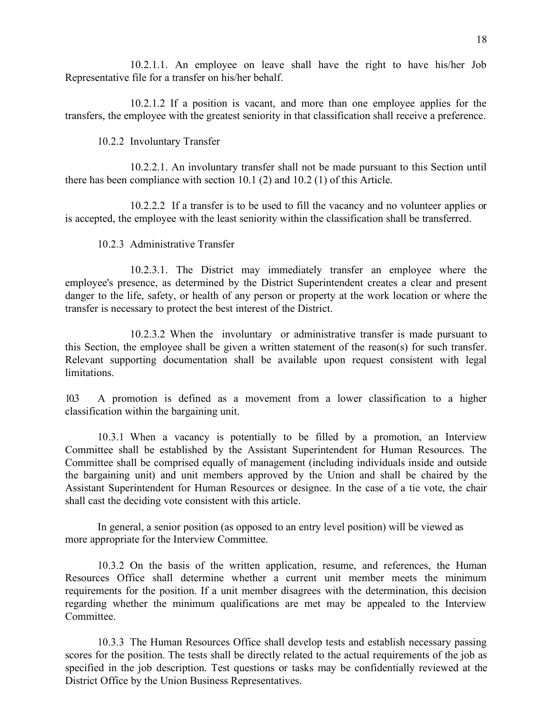10.2.1.1. An employee on leave shall have the right to have his/her Job Representative file for a transfer on his/her behalf.

10.2.1.2 If a position is vacant, and more than one employee applies for the transfers, the employee with the greatest seniority in that classification shall receive a preference.

10.2.2 Involuntary Transfer

10.2.2.1. An involuntary transfer shall not be made pursuant to this Section until there has been compliance with section 10.1 (2) and 10.2 (1) of this Article.

10.2.2.2 If a transfer is to be used to fill the vacancy and no volunteer applies or is accepted, the employee with the least seniority within the classification shall be transferred.

10.2.3 Administrative Transfer

10.2.3.1. The District may immediately transfer an employee where the employee's presence, as determined by the District Superintendent creates a clear and present danger to the life, safety, or health of any person or property at the work location or where the transfer is necessary to protect the best interest of the District.

10.2.3.2 When the involuntary or administrative transfer is made pursuant to this Section, the employee shall be given a written statement of the reason(s) for such transfer. Relevant supporting documentation shall be available upon request consistent with legal **limitations** 

10.3 A promotion is defined as a movement from a lower classification to a higher classification within the bargaining unit.

10.3.1 When a vacancy is potentially to be filled by a promotion, an Interview Committee shall be established by the Assistant Superintendent for Human Resources. The Committee shall be comprised equally of management (including individuals inside and outside the bargaining unit) and unit members approved by the Union and shall be chaired by the Assistant Superintendent for Human Resources or designee. In the case of a tie vote, the chair shall cast the deciding vote consistent with this article.

In general, a senior position (as opposed to an entry level position) will be viewed as more appropriate for the Interview Committee.

10.3.2 On the basis of the written application, resume, and references, the Human Resources Office shall determine whether a current unit member meets the minimum requirements for the position. If a unit member disagrees with the determination, this decision regarding whether the minimum qualifications are met may be appealed to the Interview **Committee** 

10.3.3 The Human Resources Office shall develop tests and establish necessary passing scores for the position. The tests shall be directly related to the actual requirements of the job as specified in the job description. Test questions or tasks may be confidentially reviewed at the District Office by the Union Business Representatives.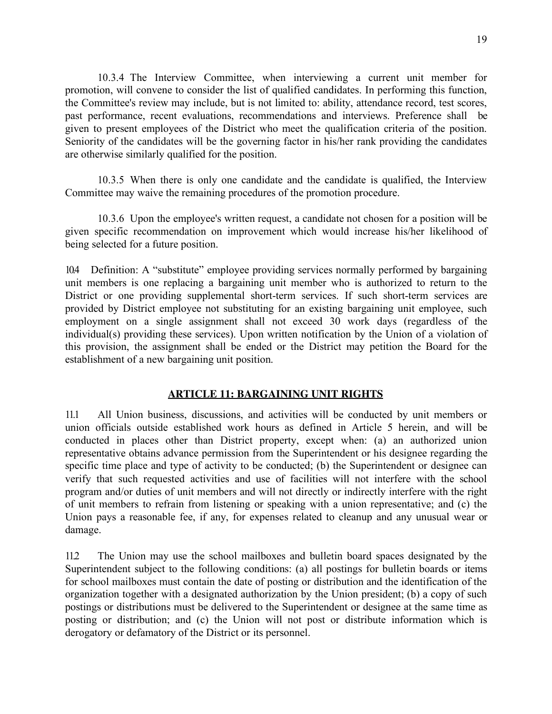10.3.4 The Interview Committee, when interviewing a current unit member for promotion, will convene to consider the list of qualified candidates. In performing this function, the Committee's review may include, but is not limited to: ability, attendance record, test scores, past performance, recent evaluations, recommendations and interviews. Preference shall be given to present employees of the District who meet the qualification criteria of the position. Seniority of the candidates will be the governing factor in his/her rank providing the candidates are otherwise similarly qualified for the position.

10.3.5 When there is only one candidate and the candidate is qualified, the Interview Committee may waive the remaining procedures of the promotion procedure.

10.3.6 Upon the employee's written request, a candidate not chosen for a position will be given specific recommendation on improvement which would increase his/her likelihood of being selected for a future position.

10.4 Definition: A "substitute" employee providing services normally performed by bargaining unit members is one replacing a bargaining unit member who is authorized to return to the District or one providing supplemental short-term services. If such short-term services are provided by District employee not substituting for an existing bargaining unit employee, such employment on a single assignment shall not exceed 30 work days (regardless of the individual(s) providing these services). Upon written notification by the Union of a violation of this provision, the assignment shall be ended or the District may petition the Board for the establishment of a new bargaining unit position.

# **ARTICLE 11: BARGAINING UNIT RIGHTS**

11.1 All Union business, discussions, and activities will be conducted by unit members or union officials outside established work hours as defined in Article 5 herein, and will be conducted in places other than District property, except when: (a) an authorized union representative obtains advance permission from the Superintendent or his designee regarding the specific time place and type of activity to be conducted; (b) the Superintendent or designee can verify that such requested activities and use of facilities will not interfere with the school program and/or duties of unit members and will not directly or indirectly interfere with the right of unit members to refrain from listening or speaking with a union representative; and (c) the Union pays a reasonable fee, if any, for expenses related to cleanup and any unusual wear or damage.

11.2 The Union may use the school mailboxes and bulletin board spaces designated by the Superintendent subject to the following conditions: (a) all postings for bulletin boards or items for school mailboxes must contain the date of posting or distribution and the identification of the organization together with a designated authorization by the Union president; (b) a copy of such postings or distributions must be delivered to the Superintendent or designee at the same time as posting or distribution; and (c) the Union will not post or distribute information which is derogatory or defamatory of the District or its personnel.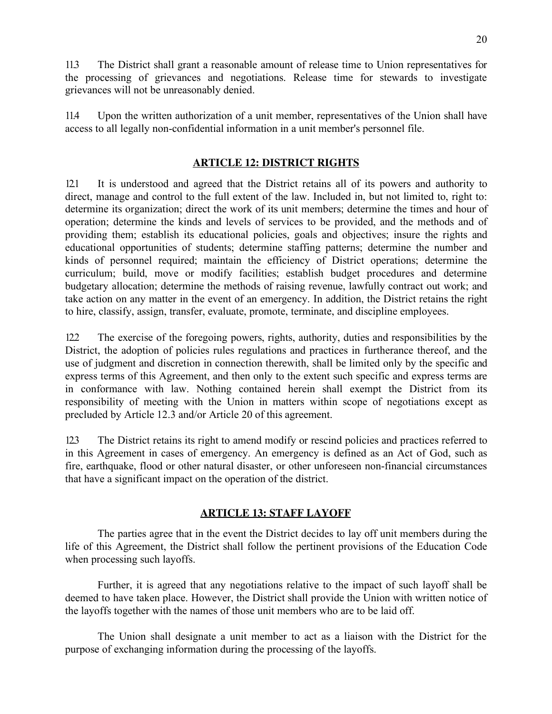11.3 The District shall grant a reasonable amount of release time to Union representatives for the processing of grievances and negotiations. Release time for stewards to investigate grievances will not be unreasonably denied.

11.4 Upon the written authorization of a unit member, representatives of the Union shall have access to all legally non-confidential information in a unit member's personnel file.

### **ARTICLE 12: DISTRICT RIGHTS**

12.1 It is understood and agreed that the District retains all of its powers and authority to direct, manage and control to the full extent of the law. Included in, but not limited to, right to: determine its organization; direct the work of its unit members; determine the times and hour of operation; determine the kinds and levels of services to be provided, and the methods and of providing them; establish its educational policies, goals and objectives; insure the rights and educational opportunities of students; determine staffing patterns; determine the number and kinds of personnel required; maintain the efficiency of District operations; determine the curriculum; build, move or modify facilities; establish budget procedures and determine budgetary allocation; determine the methods of raising revenue, lawfully contract out work; and take action on any matter in the event of an emergency. In addition, the District retains the right to hire, classify, assign, transfer, evaluate, promote, terminate, and discipline employees.

12.2 The exercise of the foregoing powers, rights, authority, duties and responsibilities by the District, the adoption of policies rules regulations and practices in furtherance thereof, and the use of judgment and discretion in connection therewith, shall be limited only by the specific and express terms of this Agreement, and then only to the extent such specific and express terms are in conformance with law. Nothing contained herein shall exempt the District from its responsibility of meeting with the Union in matters within scope of negotiations except as precluded by Article 12.3 and/or Article 20 of this agreement.

12.3 The District retains its right to amend modify or rescind policies and practices referred to in this Agreement in cases of emergency. An emergency is defined as an Act of God, such as fire, earthquake, flood or other natural disaster, or other unforeseen non-financial circumstances that have a significant impact on the operation of the district.

# **ARTICLE 13: STAFF LAYOFF**

The parties agree that in the event the District decides to lay off unit members during the life of this Agreement, the District shall follow the pertinent provisions of the Education Code when processing such layoffs.

Further, it is agreed that any negotiations relative to the impact of such layoff shall be deemed to have taken place. However, the District shall provide the Union with written notice of the layoffs together with the names of those unit members who are to be laid off.

The Union shall designate a unit member to act as a liaison with the District for the purpose of exchanging information during the processing of the layoffs.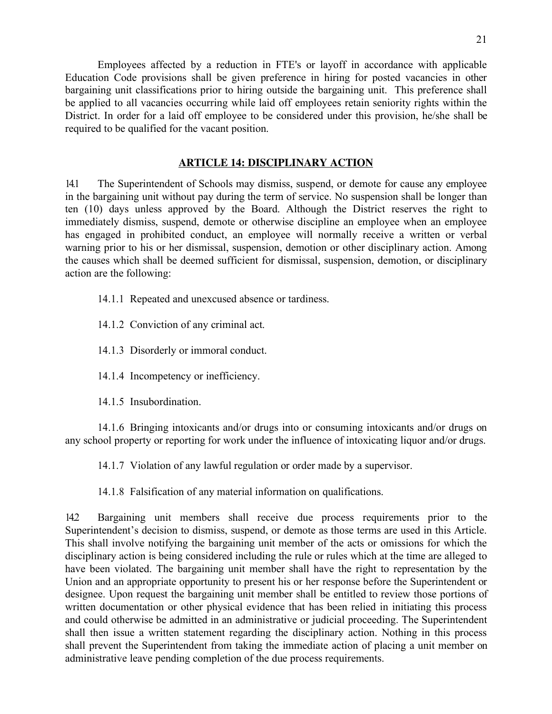Employees affected by a reduction in FTE's or layoff in accordance with applicable Education Code provisions shall be given preference in hiring for posted vacancies in other bargaining unit classifications prior to hiring outside the bargaining unit. This preference shall be applied to all vacancies occurring while laid off employees retain seniority rights within the District. In order for a laid off employee to be considered under this provision, he/she shall be required to be qualified for the vacant position.

### **ARTICLE 14: DISCIPLINARY ACTION**

14.1 The Superintendent of Schools may dismiss, suspend, or demote for cause any employee in the bargaining unit without pay during the term of service. No suspension shall be longer than ten (10) days unless approved by the Board. Although the District reserves the right to immediately dismiss, suspend, demote or otherwise discipline an employee when an employee has engaged in prohibited conduct, an employee will normally receive a written or verbal warning prior to his or her dismissal, suspension, demotion or other disciplinary action. Among the causes which shall be deemed sufficient for dismissal, suspension, demotion, or disciplinary action are the following:

14.1.1 Repeated and unexcused absence or tardiness.

14.1.2 Conviction of any criminal act.

14.1.3 Disorderly or immoral conduct.

14.1.4 Incompetency or inefficiency.

14.1.5 Insubordination.

14.1.6 Bringing intoxicants and/or drugs into or consuming intoxicants and/or drugs on any school property or reporting for work under the influence of intoxicating liquor and/or drugs.

14.1.7 Violation of any lawful regulation or order made by a supervisor.

14.1.8 Falsification of any material information on qualifications.

14.2 Bargaining unit members shall receive due process requirements prior to the Superintendent's decision to dismiss, suspend, or demote as those terms are used in this Article. This shall involve notifying the bargaining unit member of the acts or omissions for which the disciplinary action is being considered including the rule or rules which at the time are alleged to have been violated. The bargaining unit member shall have the right to representation by the Union and an appropriate opportunity to present his or her response before the Superintendent or designee. Upon request the bargaining unit member shall be entitled to review those portions of written documentation or other physical evidence that has been relied in initiating this process and could otherwise be admitted in an administrative or judicial proceeding. The Superintendent shall then issue a written statement regarding the disciplinary action. Nothing in this process shall prevent the Superintendent from taking the immediate action of placing a unit member on administrative leave pending completion of the due process requirements.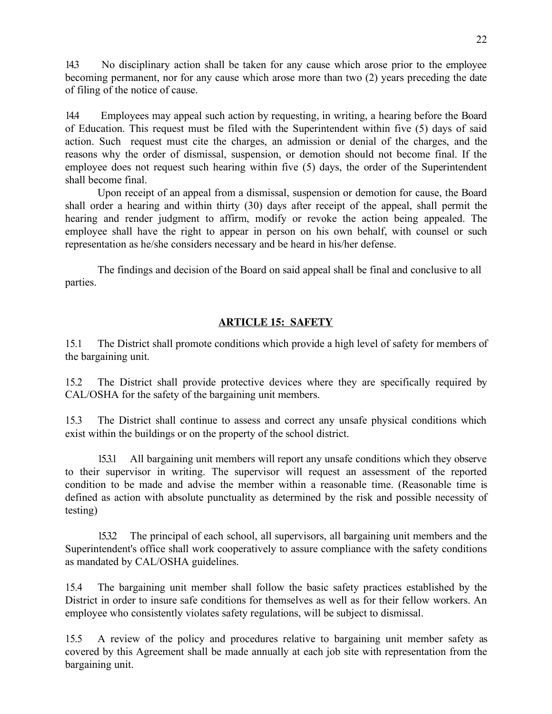14.3 No disciplinary action shall be taken for any cause which arose prior to the employee becoming permanent, nor for any cause which arose more than two (2) years preceding the date of filing of the notice of cause.

14.4 Employees may appeal such action by requesting, in writing, a hearing before the Board of Education. This request must be filed with the Superintendent within five (5) days of said action. Such request must cite the charges, an admission or denial of the charges, and the reasons why the order of dismissal, suspension, or demotion should not become final. If the employee does not request such hearing within five (5) days, the order of the Superintendent shall become final.

Upon receipt of an appeal from a dismissal, suspension or demotion for cause, the Board shall order a hearing and within thirty (30) days after receipt of the appeal, shall permit the hearing and render judgment to affirm, modify or revoke the action being appealed. The employee shall have the right to appear in person on his own behalf, with counsel or such representation as he/she considers necessary and be heard in his/her defense.

The findings and decision of the Board on said appeal shall be final and conclusive to all parties.

# **ARTICLE 15: SAFETY**

15.1 The District shall promote conditions which provide a high level of safety for members of the bargaining unit.

15.2 The District shall provide protective devices where they are specifically required by CAL/OSHA for the safety of the bargaining unit members.

15.3 The District shall continue to assess and correct any unsafe physical conditions which exist within the buildings or on the property of the school district.

15.3.1 All bargaining unit members will report any unsafe conditions which they observe to their supervisor in writing. The supervisor will request an assessment of the reported condition to be made and advise the member within a reasonable time. (Reasonable time is defined as action with absolute punctuality as determined by the risk and possible necessity of testing)

15.3.2 The principal of each school, all supervisors, all bargaining unit members and the Superintendent's office shall work cooperatively to assure compliance with the safety conditions as mandated by CAL/OSHA guidelines.

15.4 The bargaining unit member shall follow the basic safety practices established by the District in order to insure safe conditions for themselves as well as for their fellow workers. An employee who consistently violates safety regulations, will be subject to dismissal.

15.5 A review of the policy and procedures relative to bargaining unit member safety as covered by this Agreement shall be made annually at each job site with representation from the bargaining unit.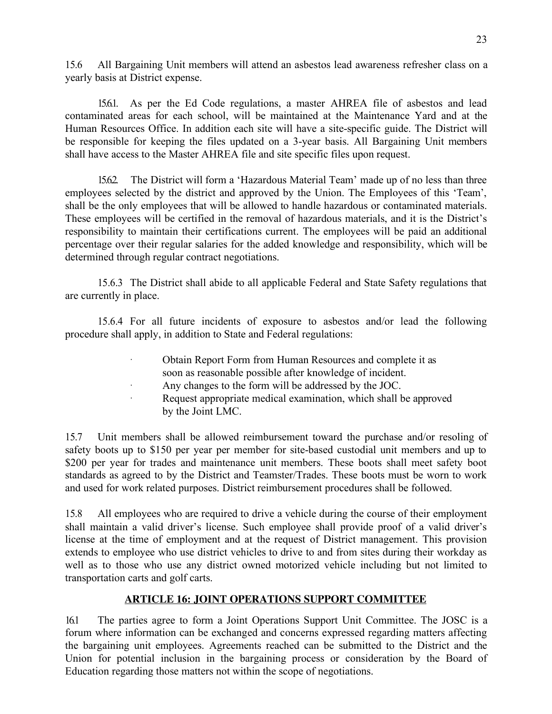15.6 All Bargaining Unit members will attend an asbestos lead awareness refresher class on a yearly basis at District expense.

15.6.1. As per the Ed Code regulations, a master AHREA file of asbestos and lead contaminated areas for each school, will be maintained at the Maintenance Yard and at the Human Resources Office. In addition each site will have a site-specific guide. The District will be responsible for keeping the files updated on a 3-year basis. All Bargaining Unit members shall have access to the Master AHREA file and site specific files upon request.

15.6.2. The District will form a 'Hazardous Material Team' made up of no less than three employees selected by the district and approved by the Union. The Employees of this 'Team', shall be the only employees that will be allowed to handle hazardous or contaminated materials. These employees will be certified in the removal of hazardous materials, and it is the District's responsibility to maintain their certifications current. The employees will be paid an additional percentage over their regular salaries for the added knowledge and responsibility, which will be determined through regular contract negotiations.

15.6.3 The District shall abide to all applicable Federal and State Safety regulations that are currently in place.

15.6.4 For all future incidents of exposure to asbestos and/or lead the following procedure shall apply, in addition to State and Federal regulations:

- · Obtain Report Form from Human Resources and complete it as soon as reasonable possible after knowledge of incident.
- Any changes to the form will be addressed by the JOC.
- Request appropriate medical examination, which shall be approved by the Joint LMC.

15.7 Unit members shall be allowed reimbursement toward the purchase and/or resoling of safety boots up to \$150 per year per member for site-based custodial unit members and up to \$200 per year for trades and maintenance unit members. These boots shall meet safety boot standards as agreed to by the District and Teamster/Trades. These boots must be worn to work and used for work related purposes. District reimbursement procedures shall be followed.

15.8 All employees who are required to drive a vehicle during the course of their employment shall maintain a valid driver's license. Such employee shall provide proof of a valid driver's license at the time of employment and at the request of District management. This provision extends to employee who use district vehicles to drive to and from sites during their workday as well as to those who use any district owned motorized vehicle including but not limited to transportation carts and golf carts.

# **ARTICLE 16: JOINT OPERATIONS SUPPORT COMMITTEE**

16.1 The parties agree to form a Joint Operations Support Unit Committee. The JOSC is a forum where information can be exchanged and concerns expressed regarding matters affecting the bargaining unit employees. Agreements reached can be submitted to the District and the Union for potential inclusion in the bargaining process or consideration by the Board of Education regarding those matters not within the scope of negotiations.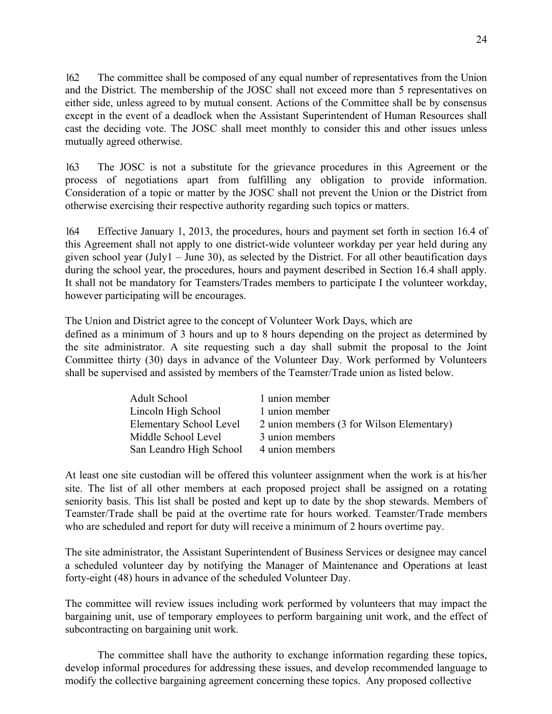16.2 The committee shall be composed of any equal number of representatives from the Union and the District. The membership of the JOSC shall not exceed more than 5 representatives on either side, unless agreed to by mutual consent. Actions of the Committee shall be by consensus except in the event of a deadlock when the Assistant Superintendent of Human Resources shall cast the deciding vote. The JOSC shall meet monthly to consider this and other issues unless mutually agreed otherwise.

16.3 The JOSC is not a substitute for the grievance procedures in this Agreement or the process of negotiations apart from fulfilling any obligation to provide information. Consideration of a topic or matter by the JOSC shall not prevent the Union or the District from otherwise exercising their respective authority regarding such topics or matters.

16.4 Effective January 1, 2013, the procedures, hours and payment set forth in section 16.4 of this Agreement shall not apply to one district-wide volunteer workday per year held during any given school year (July1 – June 30), as selected by the District. For all other beautification days during the school year, the procedures, hours and payment described in Section 16.4 shall apply. It shall not be mandatory for Teamsters/Trades members to participate I the volunteer workday, however participating will be encourages.

The Union and District agree to the concept of Volunteer Work Days, which are defined as a minimum of 3 hours and up to 8 hours depending on the project as determined by the site administrator. A site requesting such a day shall submit the proposal to the Joint Committee thirty (30) days in advance of the Volunteer Day. Work performed by Volunteers shall be supervised and assisted by members of the Teamster/Trade union as listed below.

| <b>Adult School</b>     | 1 union member                            |
|-------------------------|-------------------------------------------|
| Lincoln High School     | 1 union member                            |
| Elementary School Level | 2 union members (3 for Wilson Elementary) |
| Middle School Level     | 3 union members                           |
| San Leandro High School | 4 union members                           |

At least one site custodian will be offered this volunteer assignment when the work is at his/her site. The list of all other members at each proposed project shall be assigned on a rotating seniority basis. This list shall be posted and kept up to date by the shop stewards. Members of Teamster/Trade shall be paid at the overtime rate for hours worked. Teamster/Trade members who are scheduled and report for duty will receive a minimum of 2 hours overtime pay.

The site administrator, the Assistant Superintendent of Business Services or designee may cancel a scheduled volunteer day by notifying the Manager of Maintenance and Operations at least forty-eight (48) hours in advance of the scheduled Volunteer Day.

The committee will review issues including work performed by volunteers that may impact the bargaining unit, use of temporary employees to perform bargaining unit work, and the effect of subcontracting on bargaining unit work.

The committee shall have the authority to exchange information regarding these topics, develop informal procedures for addressing these issues, and develop recommended language to modify the collective bargaining agreement concerning these topics. Any proposed collective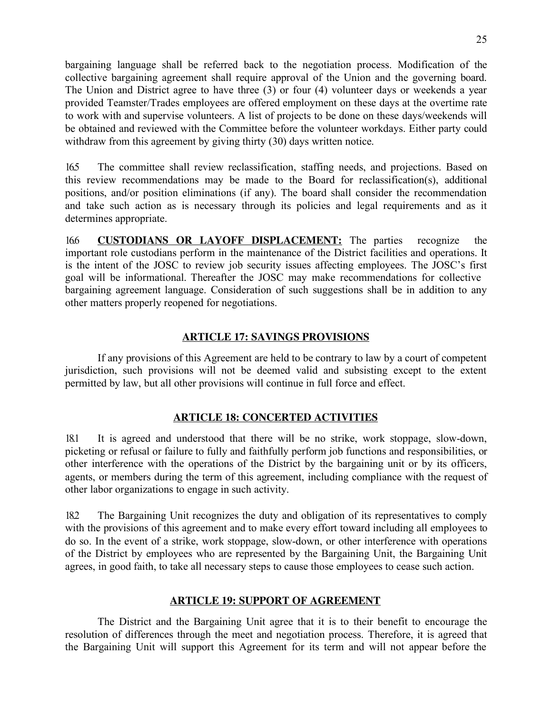bargaining language shall be referred back to the negotiation process. Modification of the collective bargaining agreement shall require approval of the Union and the governing board. The Union and District agree to have three (3) or four (4) volunteer days or weekends a year provided Teamster/Trades employees are offered employment on these days at the overtime rate to work with and supervise volunteers. A list of projects to be done on these days/weekends will be obtained and reviewed with the Committee before the volunteer workdays. Either party could withdraw from this agreement by giving thirty (30) days written notice.

16.5 The committee shall review reclassification, staffing needs, and projections. Based on this review recommendations may be made to the Board for reclassification(s), additional positions, and/or position eliminations (if any). The board shall consider the recommendation and take such action as is necessary through its policies and legal requirements and as it determines appropriate.

16.6 **CUSTODIANS OR LAYOFF DISPLACEMENT:** The parties recognize the important role custodians perform in the maintenance of the District facilities and operations. It is the intent of the JOSC to review job security issues affecting employees. The JOSC's first goal will be informational. Thereafter the JOSC may make recommendations for collective bargaining agreement language. Consideration of such suggestions shall be in addition to any other matters properly reopened for negotiations.

# **ARTICLE 17: SAVINGS PROVISIONS**

If any provisions of this Agreement are held to be contrary to law by a court of competent jurisdiction, such provisions will not be deemed valid and subsisting except to the extent permitted by law, but all other provisions will continue in full force and effect.

### **ARTICLE 18: CONCERTED ACTIVITIES**

18.1 It is agreed and understood that there will be no strike, work stoppage, slow-down, picketing or refusal or failure to fully and faithfully perform job functions and responsibilities, or other interference with the operations of the District by the bargaining unit or by its officers, agents, or members during the term of this agreement, including compliance with the request of other labor organizations to engage in such activity.

18.2 The Bargaining Unit recognizes the duty and obligation of its representatives to comply with the provisions of this agreement and to make every effort toward including all employees to do so. In the event of a strike, work stoppage, slow-down, or other interference with operations of the District by employees who are represented by the Bargaining Unit, the Bargaining Unit agrees, in good faith, to take all necessary steps to cause those employees to cease such action.

#### **ARTICLE 19: SUPPORT OF AGREEMENT**

The District and the Bargaining Unit agree that it is to their benefit to encourage the resolution of differences through the meet and negotiation process. Therefore, it is agreed that the Bargaining Unit will support this Agreement for its term and will not appear before the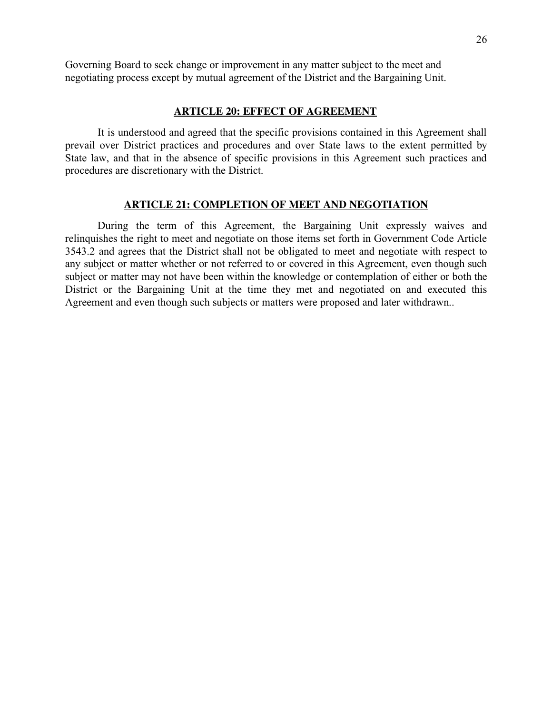Governing Board to seek change or improvement in any matter subject to the meet and negotiating process except by mutual agreement of the District and the Bargaining Unit.

### **ARTICLE 20: EFFECT OF AGREEMENT**

It is understood and agreed that the specific provisions contained in this Agreement shall prevail over District practices and procedures and over State laws to the extent permitted by State law, and that in the absence of specific provisions in this Agreement such practices and procedures are discretionary with the District.

#### **ARTICLE 21: COMPLETION OF MEET AND NEGOTIATION**

During the term of this Agreement, the Bargaining Unit expressly waives and relinquishes the right to meet and negotiate on those items set forth in Government Code Article 3543.2 and agrees that the District shall not be obligated to meet and negotiate with respect to any subject or matter whether or not referred to or covered in this Agreement, even though such subject or matter may not have been within the knowledge or contemplation of either or both the District or the Bargaining Unit at the time they met and negotiated on and executed this Agreement and even though such subjects or matters were proposed and later withdrawn..